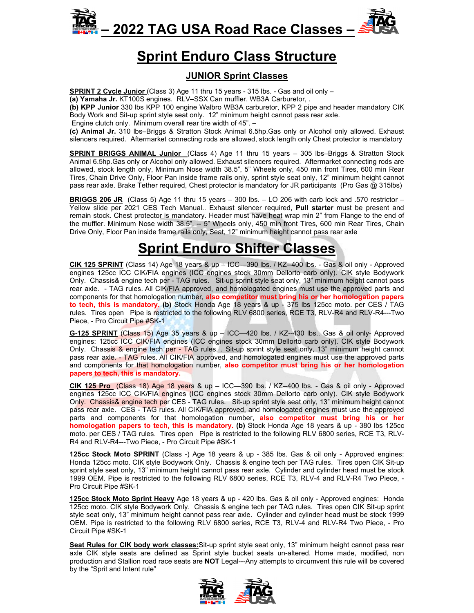



## **Sprint Enduro Class Structure**

#### **JUNIOR Sprint Classes**

**SPRINT 2 Cycle Junior** (Class 3) Age 11 thru 15 years - 315 lbs. - Gas and oil only –

**(a) Yamaha Jr.** KT100S engines. RLV–SSX Can muffler. WB3A Carburetor, .

**(b) KPP Junior** 330 lbs KPP 100 engine Walbro WB3A carburetor, KPP 2 pipe and header mandatory CIK Body Work and Sit-up sprint style seat only. 12" minimum height cannot pass rear axle.

Engine clutch only. Minimum overall rear tire width of 45". **–** 

**(c) Animal Jr.** 310 lbs–Briggs & Stratton Stock Animal 6.5hp.Gas only or Alcohol only allowed. Exhaust silencers required. Aftermarket connecting rods are allowed, stock length only Chest protector is mandatory

**SPRINT BRIGGS ANIMAL Junior** (Class 4) Age 11 thru 15 years – 305 lbs–Briggs & Stratton Stock Animal 6.5hp.Gas only or Alcohol only allowed. Exhaust silencers required. Aftermarket connecting rods are allowed, stock length only, Minimum Nose width 38.5", 5" Wheels only, 450 min front Tires, 600 min Rear Tires, Chain Drive Only, Floor Pan inside frame rails only, sprint style seat only, 12" minimum height cannot pass rear axle. Brake Tether required, Chest protector is mandatory for JR participants (Pro Gas @ 315lbs)

**BRIGGS 206 JR** (Class 5) Age 11 thru 15 years – 300 lbs. – LO 206 with carb lock and .570 restrictor – Yellow slide per 2021 CES Tech Manual.. Exhaust silencer required, **Pull starter** must be present and remain stock. Chest protector is mandatory. Header must have heat wrap min 2" from Flange to the end of the muffler. Minimum Nose width 38.5", -- 5" Wheels only, 450 min front Tires, 600 min Rear Tires, Chain Drive Only, Floor Pan inside frame rails only, Seat, 12" minimum height cannot pass rear axle

## **Sprint Enduro Shifter Classes**

**CIK 125 SPRINT** (Class 14) Age 18 years & up – ICC—390 lbs. / KZ--400 lbs. - Gas & oil only - Approved engines 125cc ICC CIK/FIA engines (ICC engines stock 30mm Dellorto carb only). CIK style Bodywork Only. Chassis& engine tech per - TAG rules. Sit-up sprint style seat only, 13" minimum height cannot pass rear axle. - TAG rules. All CIK/FIA approved, and homologated engines must use the approved parts and components for that homologation number, **also competitor must bring his or her homologation papers to tech, this is mandatory. (b)** Stock Honda Age 18 years & up - 375 lbs 125cc moto. per CES / TAG rules. Tires open Pipe is restricted to the following RLV 6800 series, RCE T3, RLV-R4 and RLV-R4---Two Piece, - Pro Circuit Pipe #SK-1

**G-125 SPRINT** (Class 15) Age 35 years & up – ICC—420 lbs. / KZ--430 lbs.. Gas & oil only- Approved engines: 125cc ICC CIK/FIA engines (ICC engines stock 30mm Dellorto carb only). CIK style Bodywork Only. Chassis & engine tech per - TAG rules. . Sit-up sprint style seat only, 13" minimum height cannot pass rear axle. - TAG rules. All CIK/FIA approved, and homologated engines must use the approved parts and components for that homologation number, **also competitor must bring his or her homologation papers to tech, this is mandatory.**

**CIK 125 Pro** (Class 18) Age 18 years & up – ICC—390 lbs. / KZ--400 lbs. - Gas & oil only - Approved engines 125cc ICC CIK/FIA engines (ICC engines stock 30mm Dellorto carb only). CIK style Bodywork Only. Chassis& engine tech per CES - TAG rules. Sit-up sprint style seat only, 13" minimum height cannot pass rear axle. CES - TAG rules. All CIK/FIA approved, and homologated engines must use the approved parts and components for that homologation number, **also competitor must bring his or her homologation papers to tech, this is mandatory. (b)** Stock Honda Age 18 years & up - 380 lbs 125cc moto. per CES / TAG rules. Tires open Pipe is restricted to the following RLV 6800 series, RCE T3, RLV-R4 and RLV-R4---Two Piece, - Pro Circuit Pipe #SK-1

**125cc Stock Moto SPRINT** (Class -) Age 18 years & up - 385 lbs. Gas & oil only - Approved engines: Honda 125cc moto. CIK style Bodywork Only. Chassis & engine tech per TAG rules. Tires open CIK Sit-up sprint style seat only, 13" minimum height cannot pass rear axle. Cylinder and cylinder head must be stock 1999 OEM. Pipe is restricted to the following RLV 6800 series, RCE T3, RLV-4 and RLV-R4 Two Piece, - Pro Circuit Pipe #SK-1

**125cc Stock Moto Sprint Heavy** Age 18 years & up - 420 lbs. Gas & oil only - Approved engines: Honda 125cc moto. CIK style Bodywork Only. Chassis & engine tech per TAG rules. Tires open CIK Sit-up sprint style seat only, 13" minimum height cannot pass rear axle. Cylinder and cylinder head must be stock 1999 OEM. Pipe is restricted to the following RLV 6800 series, RCE T3, RLV-4 and RLV-R4 Two Piece, - Pro Circuit Pipe #SK-1

**Seat Rules for CIK body work classes:**Sit-up sprint style seat only, 13" minimum height cannot pass rear axle CIK style seats are defined as Sprint style bucket seats un-altered. Home made, modified, non production and Stallion road race seats are **NOT** Legal---Any attempts to circumvent this rule will be covered by the "Sprit and Intent rule"

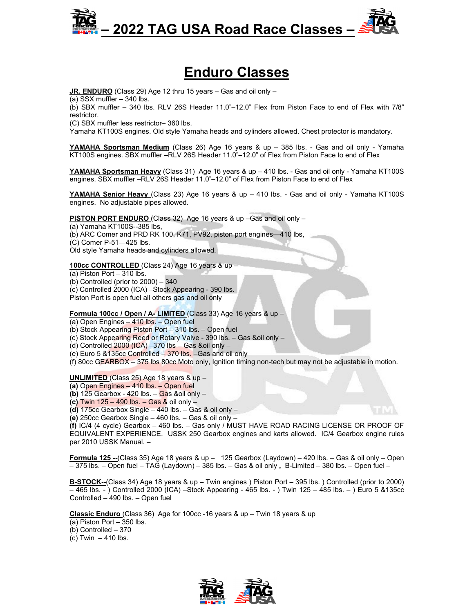

## **Enduro Classes**

**JR. ENDURO** (Class 29) Age 12 thru 15 years – Gas and oil only –

(a) SSX muffler – 340 lbs.

(b) SBX muffler – 340 lbs. RLV 26S Header 11.0"–12.0" Flex from Piston Face to end of Flex with 7/8" restrictor.

(C) SBX muffler less restrictor– 360 lbs.

Yamaha KT100S engines. Old style Yamaha heads and cylinders allowed. Chest protector is mandatory.

**YAMAHA Sportsman Medium** (Class 26) Age 16 years & up – 385 lbs. - Gas and oil only - Yamaha KT100S engines. SBX muffler –RLV 26S Header 11.0"–12.0" of Flex from Piston Face to end of Flex

**YAMAHA Sportsman Heavy** (Class 31) Age 16 years & up – 410 lbs. - Gas and oil only - Yamaha KT100S engines. SBX muffler –RLV 26S Header 11.0"–12.0" of Flex from Piston Face to end of Flex

**YAMAHA Senior Heavy** (Class 23) Age 16 years & up – 410 lbs. - Gas and oil only - Yamaha KT100S engines. No adjustable pipes allowed.

**PISTON PORT ENDURO** (Class 32) Age 16 years & up –Gas and oil only –

(a) Yamaha KT100S--385 lbs,

(b) ARC Comer and PRD RK 100, K71, PV92, piston port engines—410 lbs,

(C) Comer P-51—425 lbs.

Old style Yamaha heads and cylinders allowed.

**100cc CONTROLLED** (Class 24) Age 16 years & up –

 $(a)$  Piston Port – 310 lbs.

(b) Controlled (prior to  $2000$ )  $-340$ 

(c) Controlled 2000 (ICA) –Stock Appearing - 390 lbs.

Piston Port is open fuel all others gas and oil only

**Formula 100cc / Open / A- LIMITED** (Class 33) Age 16 years & up –

(a) Open Engines – 410 lbs. – Open fuel

(b) Stock Appearing Piston Port – 310 lbs. – Open fuel

(c) Stock Appearing Reed or Rotary Valve - 390 lbs. – Gas &oil only –

(d) Controlled  $2000$  (ICA)  $-370$  lbs  $-$  Gas &oil only  $-$ 

(e) Euro 5 &135cc Controlled – 370 lbs. –Gas and oil only

(f) 80cc GEARBOX – 375 lbs 80cc Moto only, Ignition timing non-tech but may not be adjustable in motion.

**UNLIMITED** (Class 25) Age 18 years & up –

**(a)** Open Engines – 410 lbs. – Open fuel

**(b)** 125 Gearbox - 420 lbs. – Gas &oil only –

**(c)** Twin 125 – 490 lbs. – Gas & oil only –

**(d)** 175cc Gearbox Single – 440 lbs. – Gas & oil only –

**(e)** 250cc Gearbox Single – 460 lbs. – Gas & oil only –

**(f)** IC/4 (4 cycle) Gearbox – 460 lbs. – Gas only / MUST HAVE ROAD RACING LICENSE OR PROOF OF EQUIVALENT EXPERIENCE. USSK 250 Gearbox engines and karts allowed. IC/4 Gearbox engine rules per 2010 USSK Manual. –

**Formula 125 --**(Class 35) Age 18 years & up – 125 Gearbox (Laydown) – 420 lbs. – Gas & oil only – Open – 375 lbs. – Open fuel – TAG (Laydown) – 385 lbs. – Gas & oil only **,** B-Limited – 380 lbs. – Open fuel –

**B-STOCK--**(Class 34) Age 18 years & up – Twin engines ) Piston Port – 395 lbs. ) Controlled (prior to 2000) – 465 lbs. - ) Controlled 2000 (ICA) –Stock Appearing - 465 lbs. - ) Twin 125 – 485 lbs. – ) Euro 5 &135cc Controlled – 490 lbs. – Open fuel

**Classic Enduro** (Class 36) Age for 100cc -16 years & up – Twin 18 years & up

 $(a)$  Piston Port  $-350$  lbs.

(b) Controlled – 370

(c) Twin  $-410$  lbs.

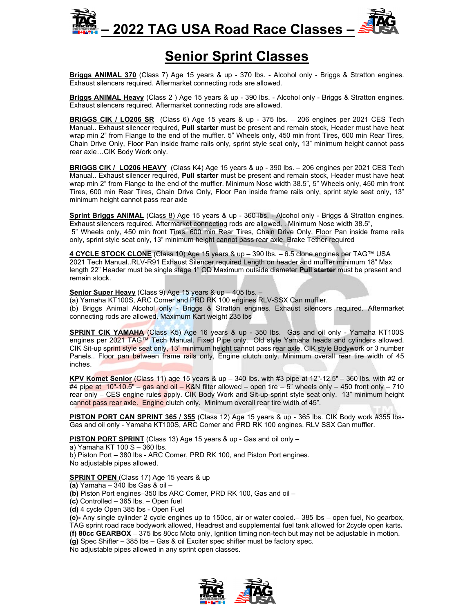# **– 2022 TAG USA Road Race Classes –**



## **Senior Sprint Classes**

**Briggs ANIMAL 370** (Class 7) Age 15 years & up - 370 lbs. - Alcohol only - Briggs & Stratton engines. Exhaust silencers required. Aftermarket connecting rods are allowed.

**Briggs ANIMAL Heavy** (Class 2 ) Age 15 years & up - 390 lbs. - Alcohol only - Briggs & Stratton engines. Exhaust silencers required. Aftermarket connecting rods are allowed.

**BRIGGS CIK / LO206 SR** (Class 6) Age 15 years & up - 375 lbs. – 206 engines per 2021 CES Tech Manual.. Exhaust silencer required, **Pull starter** must be present and remain stock, Header must have heat wrap min 2" from Flange to the end of the muffler. 5" Wheels only, 450 min front Tires, 600 min Rear Tires, Chain Drive Only, Floor Pan inside frame rails only, sprint style seat only, 13" minimum height cannot pass rear axle…CIK Body Work only.

**BRIGGS CIK / LO206 HEAVY** (Class K4) Age 15 years & up - 390 lbs. – 206 engines per 2021 CES Tech Manual.. Exhaust silencer required, **Pull starter** must be present and remain stock, Header must have heat wrap min 2" from Flange to the end of the muffler. Minimum Nose width 38.5", 5" Wheels only, 450 min front Tires, 600 min Rear Tires, Chain Drive Only, Floor Pan inside frame rails only, sprint style seat only, 13" minimum height cannot pass rear axle

**Sprint Briggs ANIMAL** (Class 8) Age 15 years & up - 360 lbs. - Alcohol only - Briggs & Stratton engines. Exhaust silencers required. Aftermarket connecting rods are allowed. . Minimum Nose width 38.5", 5" Wheels only, 450 min front Tires, 600 min Rear Tires, Chain Drive Only, Floor Pan inside frame rails only, sprint style seat only, 13" minimum height cannot pass rear axle. Brake Tether required

**4 CYCLE STOCK CLONE** (Class 10) Age 15 years & up – 390 lbs. – 6.5 clone engines per TAG™ USA 2021 Tech Manual..RLV-R91 Exhaust Silencer required Length on header and muffler minimum 18" Max length 22" Header must be single stage 1" OD Maximum outside diameter **Pull starter** must be present and remain stock.

**Senior Super Heavy** (Class 9) Age 15 years & up – 405 lbs. –

(a) Yamaha KT100S, ARC Comer and PRD RK 100 engines RLV-SSX Can muffler. (b) Briggs Animal Alcohol only - Briggs & Stratton engines. Exhaust silencers required. Aftermarket connecting rods are allowed. Maximum Kart weight 235 lbs

**SPRINT CIK YAMAHA** (Class K5) Age 16 years & up - 350 lbs. Gas and oil only - Yamaha KT100S engines per 2021 TAG™ Tech Manual. Fixed Pipe only. Old style Yamaha heads and cylinders allowed. CIK Sit-up sprint style seat only, 13" minimum height cannot pass rear axle. CIK style Bodywork or 3 number Panels.. Floor pan between frame rails only, Engine clutch only. Minimum overall rear tire width of 45 inches.

**KPV Komet Senior** (Class 11) age 15 years & up – 340 lbs. with #3 pipe at 12"-12.5" – 360 lbs. with #2 or #4 pipe at 10"-10.5" – gas and oil – K&N filter allowed – open tire – 5" wheels only – 450 front only – 710 rear only – CES engine rules apply. CIK Body Work and Sit-up sprint style seat only. 13" minimum height cannot pass rear axle. Engine clutch only. Minimum overall rear tire width of 45".

**PISTON PORT CAN SPRINT 365 / 355** (Class 12) Age 15 years & up - 365 lbs. CIK Body work #355 lbs-Gas and oil only - Yamaha KT100S, ARC Comer and PRD RK 100 engines. RLV SSX Can muffler.

**PISTON PORT SPRINT** (Class 13) Age 15 years & up - Gas and oil only –

a) Yamaha KT 100 S – 360 lbs.

b) Piston Port – 380 lbs - ARC Comer, PRD RK 100, and Piston Port engines. No adjustable pipes allowed.

**SPRINT OPEN** (Class 17) Age 15 years & up

**(a)** Yamaha – 340 lbs Gas & oil –

**(b)** Piston Port engines–350 lbs ARC Comer, PRD RK 100, Gas and oil –

**(c)** Controlled – 365 lbs. – Open fuel

**(d)** 4 cycle Open 385 lbs - Open Fuel

**(e)-** Any single cylinder 2 cycle engines up to 150cc, air or water cooled.– 385 lbs – open fuel, No gearbox, TAG sprint road race bodywork allowed, Headrest and supplemental fuel tank allowed for 2cycle open karts**. (f) 80cc GEARBOX** – 375 lbs 80cc Moto only, Ignition timing non-tech but may not be adjustable in motion.

**(g)** Spec Shifter – 385 lbs – Gas & oil Exciter spec shifter must be factory spec.

No adjustable pipes allowed in any sprint open classes.

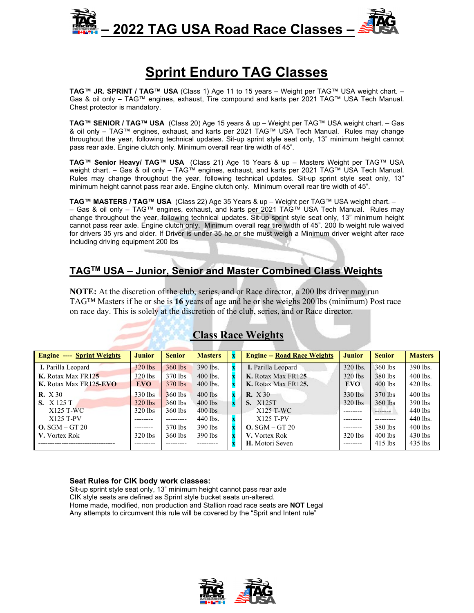

## **Sprint Enduro TAG Classes**

**TAG™ JR. SPRINT / TAG™ USA** (Class 1) Age 11 to 15 years – Weight per TAG™ USA weight chart. – Gas & oil only – TAG™ engines, exhaust, Tire compound and karts per 2021 TAG™ USA Tech Manual. Chest protector is mandatory.

**TAG™ SENIOR / TAG™ USA** (Class 20) Age 15 years & up – Weight per TAG™ USA weight chart. – Gas & oil only – TAG™ engines, exhaust, and karts per 2021 TAG™ USA Tech Manual. Rules may change throughout the year, following technical updates. Sit-up sprint style seat only, 13" minimum height cannot pass rear axle. Engine clutch only. Minimum overall rear tire width of 45".

**TAG™ Senior Heavy/ TAG™ USA** (Class 21) Age 15 Years & up – Masters Weight per TAG™ USA weight chart. – Gas & oil only – TAG™ engines, exhaust, and karts per 2021 TAG™ USA Tech Manual. Rules may change throughout the year, following technical updates. Sit-up sprint style seat only, 13" minimum height cannot pass rear axle. Engine clutch only. Minimum overall rear tire width of 45".

**TAG™ MASTERS / TAG™ USA** (Class 22) Age 35 Years & up – Weight per TAG™ USA weight chart. – – Gas & oil only – TAG™ engines, exhaust, and karts per 2021 TAG™ USA Tech Manual. Rules may change throughout the year, following technical updates. Sit-up sprint style seat only, 13" minimum height cannot pass rear axle. Engine clutch only. Minimum overall rear tire width of 45". 200 lb weight rule waived for drivers 35 yrs and older. If Driver is under 35 he or she must weigh a Minimum driver weight after race including driving equipment 200 lbs

## **TAGTM USA – Junior, Senior and Master Combined Class Weights**

**NOTE:** At the discretion of the club, series, and or Race director, a 200 lbs driver may run TAG™ Masters if he or she is **16** years of age and he or she weighs 200 lbs (minimum) Post race on race day. This is solely at the discretion of the club, series, and or Race director.

| <b>Engine ---- Sprint Weights</b> | <b>Junior</b> | <b>Senior</b> | <b>Masters</b> | <b>Engine -- Road Race Weights</b> | <b>Junior</b> | <b>Senior</b> | <b>Masters</b> |
|-----------------------------------|---------------|---------------|----------------|------------------------------------|---------------|---------------|----------------|
| I. Parilla Leopard                | $320$ lbs     | $360$ lbs     | 390 lbs.       | I. Parilla Leopard                 | 320 lbs.      | $360$ lbs     | 390 lbs.       |
| K. Rotax Max FR125                | $320$ lbs     | 370 lbs       | $400$ lbs.     | K. Rotax Max FR125                 | $320$ lbs     | 380 lbs       | $400$ lbs.     |
| K. Rotax Max FR125-EVO            | <b>EVO</b>    | 370 lbs       | $400$ lbs.     | K. Rotax Max FR125.                | <b>EVO</b>    | $400$ lbs     | $420$ lbs.     |
| <b>R.</b> X 30                    | $330$ lbs     | $360$ lbs     | $400$ lbs      | <b>R.</b> X 30                     | $330$ lbs     | 370 lbs       | $400$ lbs      |
| <b>S.</b> X 125 T                 | $320$ lbs     | $360$ lbs     | $400$ lbs      | <b>S.</b> X125T                    | $320$ lbs     | $360$ lbs     | $390$ lbs      |
| X125 T-WC                         | $320$ lbs     | $360$ lbs     | $400$ lbs      | X125 T-WC                          | --------      | -------       | 440 lbs        |
| $X125$ T-PV                       | --------      | ----------    | 440 lbs.       | X125 T-PV                          | --------      | ---------     | 440 lbs.       |
| $O.$ SGM $-$ GT 20                | ---------     | 370 lbs       | $390$ lbs      | $O.$ SGM $-$ GT 20                 | --------      | 380 lbs       | $400$ lbs      |
| V. Vortex Rok                     | $320$ lbs     | $360$ lbs     | $390$ lbs      | V. Vortex Rok                      | $320$ lbs     | $400$ lbs     | $430$ lbs      |
|                                   |               |               |                | H. Motori Seven                    | --------      | $415$ lbs     | $435$ lbs      |

## **Class Race Weights**

#### **Seat Rules for CIK body work classes:**

Sit-up sprint style seat only, 13" minimum height cannot pass rear axle CIK style seats are defined as Sprint style bucket seats un-altered. Home made, modified, non production and Stallion road race seats are **NOT** Legal Any attempts to circumvent this rule will be covered by the "Sprit and Intent rule"

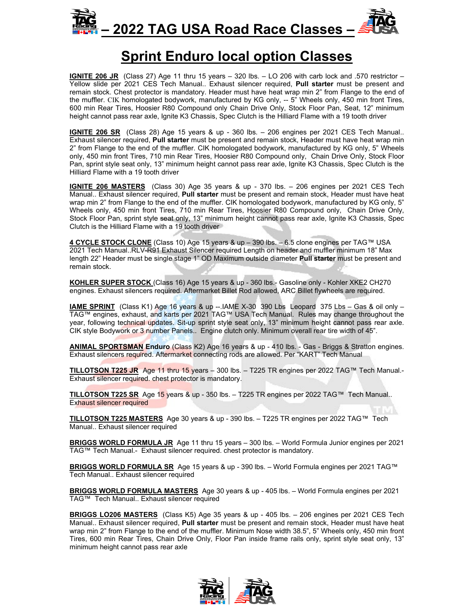



## **Sprint Enduro local option Classes**

**IGNITE 206 JR** (Class 27) Age 11 thru 15 years – 320 lbs. – LO 206 with carb lock and .570 restrictor – Yellow slide per 2021 CES Tech Manual.. Exhaust silencer required, **Pull starter** must be present and remain stock. Chest protector is mandatory. Header must have heat wrap min 2" from Flange to the end of the muffler. CIK homologated bodywork, manufactured by KG only, -- 5" Wheels only, 450 min front Tires, 600 min Rear Tires, Hoosier R80 Compound only Chain Drive Only, Stock Floor Pan, Seat, 12" minimum height cannot pass rear axle, Ignite K3 Chassis, Spec Clutch is the Hilliard Flame with a 19 tooth driver

**IGNITE 206 SR** (Class 28) Age 15 years & up - 360 lbs. – 206 engines per 2021 CES Tech Manual.. Exhaust silencer required, **Pull starter** must be present and remain stock, Header must have heat wrap min 2" from Flange to the end of the muffler. CIK homologated bodywork, manufactured by KG only, 5" Wheels only, 450 min front Tires, 710 min Rear Tires, Hoosier R80 Compound only, Chain Drive Only, Stock Floor Pan, sprint style seat only, 13" minimum height cannot pass rear axle, Ignite K3 Chassis, Spec Clutch is the Hilliard Flame with a 19 tooth driver

**IGNITE 206 MASTERS** (Class 30) Age 35 years & up - 370 lbs. – 206 engines per 2021 CES Tech Manual.. Exhaust silencer required, **Pull starter** must be present and remain stock, Header must have heat wrap min 2" from Flange to the end of the muffler. CIK homologated bodywork, manufactured by KG only, 5" Wheels only, 450 min front Tires, 710 min Rear Tires, Hoosier R80 Compound only, Chain Drive Only, Stock Floor Pan, sprint style seat only, 13" minimum height cannot pass rear axle, Ignite K3 Chassis, Spec Clutch is the Hilliard Flame with a 19 tooth driver

**4 CYCLE STOCK CLONE** (Class 10) Age 15 years & up – 390 lbs. – 6.5 clone engines per TAG™ USA 2021 Tech Manual..RLV-R91 Exhaust Silencer required Length on header and muffler minimum 18" Max length 22" Header must be single stage 1" OD Maximum outside diameter **Pull starter** must be present and remain stock.

**KOHLER SUPER STOCK** (Class 16) Age 15 years & up - 360 lbs.- Gasoline only - Kohler XKE2 CH270 engines. Exhaust silencers required. Aftermarket Billet Rod allowed, ARC Billet flywheels are required.

**IAME SPRINT** (Class K1) Age 16 years & up --.IAME X-30 390 Lbs Leopard 375 Lbs – Gas & oil only – TAG™ engines, exhaust, and karts per 2021 TAG™ USA Tech Manual. Rules may change throughout the year, following technical updates. Sit-up sprint style seat only, 13" minimum height cannot pass rear axle. CIK style Bodywork or 3 number Panels.. Engine clutch only. Minimum overall rear tire width of 45".

**ANIMAL SPORTSMAN Enduro** (Class K2) Age 16 years & up - 410 lbs. - Gas - Briggs & Stratton engines. Exhaust silencers required. Aftermarket connecting rods are allowed. Per "KART" Tech Manual

**TILLOTSON T225 JR** Age 11 thru 15 years – 300 lbs. – T225 TR engines per 2022 TAG™ Tech Manual.- Exhaust silencer required. chest protector is mandatory.

**TILLOTSON T225 SR** Age 15 years & up - 350 lbs. – T225 TR engines per 2022 TAG™ Tech Manual.. Exhaust silencer required

**TILLOTSON T225 MASTERS** Age 30 years & up - 390 lbs. – T225 TR engines per 2022 TAG™ Tech Manual.. Exhaust silencer required

**BRIGGS WORLD FORMULA JR** Age 11 thru 15 years – 300 lbs. – World Formula Junior engines per 2021 TAG™ Tech Manual.- Exhaust silencer required. chest protector is mandatory.

**BRIGGS WORLD FORMULA SR** Age 15 years & up - 390 lbs. – World Formula engines per 2021 TAG™ Tech Manual.. Exhaust silencer required

**BRIGGS WORLD FORMULA MASTERS** Age 30 years & up - 405 lbs. – World Formula engines per 2021 TAG™ Tech Manual.. Exhaust silencer required

**BRIGGS LO206 MASTERS** (Class K5) Age 35 years & up - 405 lbs. – 206 engines per 2021 CES Tech Manual.. Exhaust silencer required, **Pull starter** must be present and remain stock, Header must have heat wrap min 2" from Flange to the end of the muffler. Minimum Nose width 38.5", 5" Wheels only, 450 min front Tires, 600 min Rear Tires, Chain Drive Only, Floor Pan inside frame rails only, sprint style seat only, 13" minimum height cannot pass rear axle